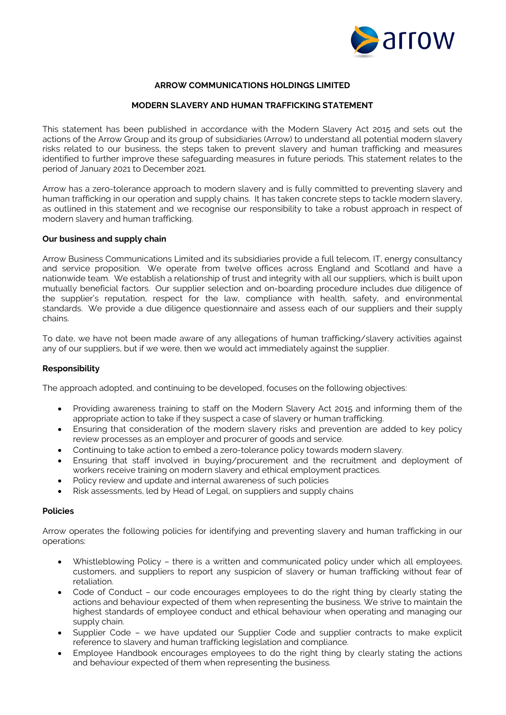

# **ARROW COMMUNICATIONS HOLDINGS LIMITED**

## **MODERN SLAVERY AND HUMAN TRAFFICKING STATEMENT**

This statement has been published in accordance with the Modern Slavery Act 2015 and sets out the actions of the Arrow Group and its group of subsidiaries (Arrow) to understand all potential modern slavery risks related to our business, the steps taken to prevent slavery and human trafficking and measures identified to further improve these safeguarding measures in future periods. This statement relates to the period of January 2021 to December 2021.

Arrow has a zero-tolerance approach to modern slavery and is fully committed to preventing slavery and human trafficking in our operation and supply chains. It has taken concrete steps to tackle modern slavery, as outlined in this statement and we recognise our responsibility to take a robust approach in respect of modern slavery and human trafficking.

### **Our business and supply chain**

Arrow Business Communications Limited and its subsidiaries provide a full telecom, IT, energy consultancy and service proposition. We operate from twelve offices across England and Scotland and have a nationwide team. We establish a relationship of trust and integrity with all our suppliers, which is built upon mutually beneficial factors. Our supplier selection and on-boarding procedure includes due diligence of the supplier's reputation, respect for the law, compliance with health, safety, and environmental standards. We provide a due diligence questionnaire and assess each of our suppliers and their supply chains.

To date, we have not been made aware of any allegations of human trafficking/slavery activities against any of our suppliers, but if we were, then we would act immediately against the supplier.

### **Responsibility**

The approach adopted, and continuing to be developed, focuses on the following objectives:

- Providing awareness training to staff on the Modern Slavery Act 2015 and informing them of the appropriate action to take if they suspect a case of slavery or human trafficking.
- Ensuring that consideration of the modern slavery risks and prevention are added to key policy review processes as an employer and procurer of goods and service.
- Continuing to take action to embed a zero-tolerance policy towards modern slavery.
- Ensuring that staff involved in buying/procurement and the recruitment and deployment of workers receive training on modern slavery and ethical employment practices.
- Policy review and update and internal awareness of such policies
- Risk assessments, led by Head of Legal, on suppliers and supply chains

### **Policies**

Arrow operates the following policies for identifying and preventing slavery and human trafficking in our operations:

- Whistleblowing Policy there is a written and communicated policy under which all employees, customers, and suppliers to report any suspicion of slavery or human trafficking without fear of retaliation.
- Code of Conduct our code encourages employees to do the right thing by clearly stating the actions and behaviour expected of them when representing the business. We strive to maintain the highest standards of employee conduct and ethical behaviour when operating and managing our supply chain.
- Supplier Code we have updated our Supplier Code and supplier contracts to make explicit reference to slavery and human trafficking legislation and compliance.
- Employee Handbook encourages employees to do the right thing by clearly stating the actions and behaviour expected of them when representing the business.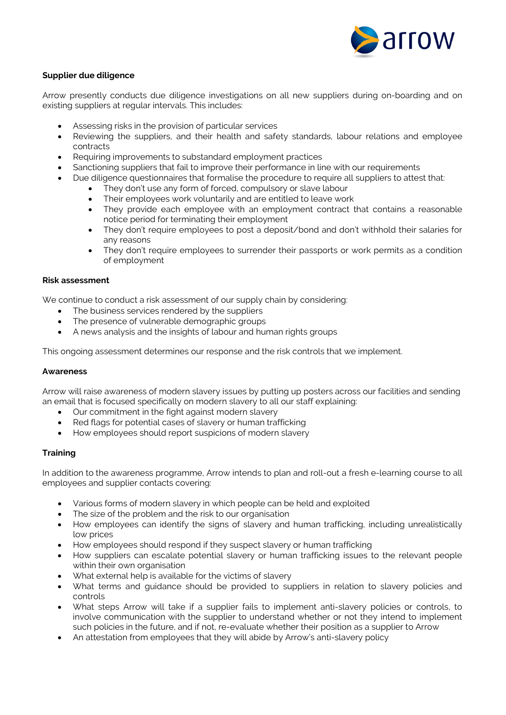

## **Supplier due diligence**

Arrow presently conducts due diligence investigations on all new suppliers during on-boarding and on existing suppliers at regular intervals. This includes:

- Assessing risks in the provision of particular services
- Reviewing the suppliers, and their health and safety standards, labour relations and employee contracts
- Requiring improvements to substandard employment practices
- Sanctioning suppliers that fail to improve their performance in line with our requirements
- Due diligence questionnaires that formalise the procedure to require all suppliers to attest that:
	- They don't use any form of forced, compulsory or slave labour
	- Their employees work voluntarily and are entitled to leave work
	- They provide each employee with an employment contract that contains a reasonable notice period for terminating their employment
	- They don't require employees to post a deposit/bond and don't withhold their salaries for any reasons
	- They don't require employees to surrender their passports or work permits as a condition of employment

### **Risk assessment**

We continue to conduct a risk assessment of our supply chain by considering:

- The business services rendered by the suppliers
	- The presence of vulnerable demographic groups
- A news analysis and the insights of labour and human rights groups

This ongoing assessment determines our response and the risk controls that we implement.

### **Awareness**

Arrow will raise awareness of modern slavery issues by putting up posters across our facilities and sending an email that is focused specifically on modern slavery to all our staff explaining:

- Our commitment in the fight against modern slavery
- Red flags for potential cases of slavery or human trafficking
- How employees should report suspicions of modern slavery

### **Training**

In addition to the awareness programme, Arrow intends to plan and roll-out a fresh e-learning course to all employees and supplier contacts covering:

- Various forms of modern slavery in which people can be held and exploited
- The size of the problem and the risk to our organisation
- How employees can identify the signs of slavery and human trafficking, including unrealistically low prices
- How employees should respond if they suspect slavery or human trafficking
- How suppliers can escalate potential slavery or human trafficking issues to the relevant people within their own organisation
- What external help is available for the victims of slavery
- What terms and guidance should be provided to suppliers in relation to slavery policies and controls
- What steps Arrow will take if a supplier fails to implement anti-slavery policies or controls, to involve communication with the supplier to understand whether or not they intend to implement such policies in the future, and if not, re-evaluate whether their position as a supplier to Arrow
- An attestation from employees that they will abide by Arrow's anti-slavery policy